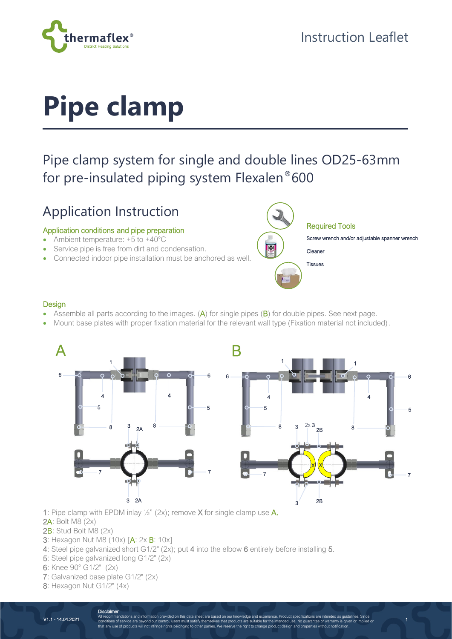

# **Pipe clamp**

## Pipe clamp system for single and double lines OD25-63mm for pre-insulated piping system Flexalen®600

## Application Instruction

### Application conditions and pipe preparation

- Ambient temperature: +5 to +40°C
- Service pipe is free from dirt and condensation.
- Connected indoor pipe installation must be anchored as well.



1

#### **Design**

- Assemble all parts according to the images. (A) for single pipes (B) for double pipes. See next page.
- Mount base plates with proper fixation material for the relevant wall type (Fixation material not included).



- 1: Pipe clamp with EPDM inlay  $\frac{1}{2}$ " (2x); remove X for single clamp use A.
- 2A: Bolt M8 (2x)
- 2B: Stud Bolt M8 (2x)
- **3**: Hexagon Nut M8 (10x) [A: 2x **B**: 10x]
- 4: Steel pipe galvanized short G1/2" (2x); put 4 into the elbow 6 entirely before installing 5.
- 5: Steel pipe galvanized long G1/2" (2x)
- 6: Knee 90° G1/2" (2x)
- 7: Galvanized base plate G1/2" (2x)
- 8: Hexagon Nut G1/2" (4x)